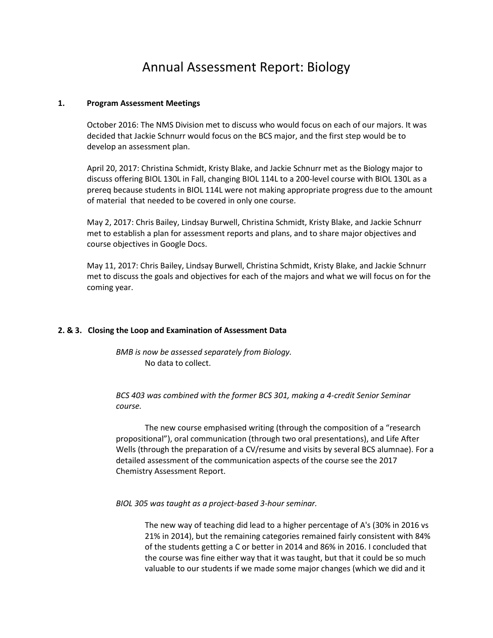## Annual Assessment Report: Biology

### **1. Program Assessment Meetings**

October 2016: The NMS Division met to discuss who would focus on each of our majors. It was decided that Jackie Schnurr would focus on the BCS major, and the first step would be to develop an assessment plan.

April 20, 2017: Christina Schmidt, Kristy Blake, and Jackie Schnurr met as the Biology major to discuss offering BIOL 130L in Fall, changing BIOL 114L to a 200-level course with BIOL 130L as a prereq because students in BIOL 114L were not making appropriate progress due to the amount of material that needed to be covered in only one course.

May 2, 2017: Chris Bailey, Lindsay Burwell, Christina Schmidt, Kristy Blake, and Jackie Schnurr met to establish a plan for assessment reports and plans, and to share major objectives and course objectives in Google Docs.

May 11, 2017: Chris Bailey, Lindsay Burwell, Christina Schmidt, Kristy Blake, and Jackie Schnurr met to discuss the goals and objectives for each of the majors and what we will focus on for the coming year.

### **2. & 3. Closing the Loop and Examination of Assessment Data**

*BMB is now be assessed separately from Biology.* No data to collect.

*BCS 403 was combined with the former BCS 301, making a 4-credit Senior Seminar course.* 

The new course emphasised writing (through the composition of a "research propositional"), oral communication (through two oral presentations), and Life After Wells (through the preparation of a CV/resume and visits by several BCS alumnae). For a detailed assessment of the communication aspects of the course see the 2017 Chemistry Assessment Report.

*BIOL 305 was taught as a project-based 3-hour seminar.*

The new way of teaching did lead to a higher percentage of A's (30% in 2016 vs 21% in 2014), but the remaining categories remained fairly consistent with 84% of the students getting a C or better in 2014 and 86% in 2016. I concluded that the course was fine either way that it was taught, but that it could be so much valuable to our students if we made some major changes (which we did and it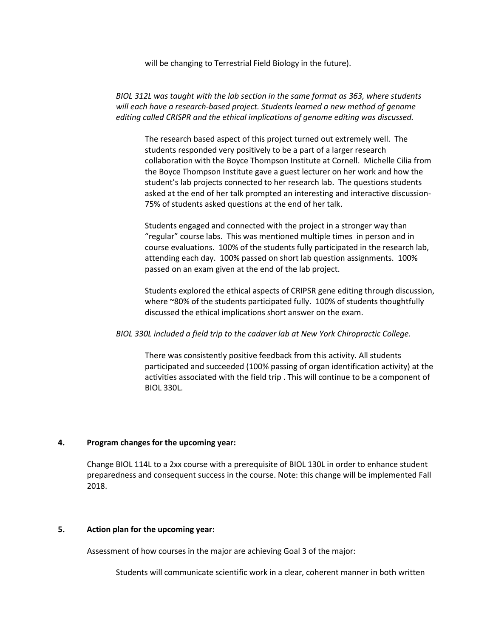will be changing to Terrestrial Field Biology in the future).

*BIOL 312L was taught with the lab section in the same format as 363, where students*  will each have a research-based project. Students learned a new method of genome *editing called CRISPR and the ethical implications of genome editing was discussed.* 

The research based aspect of this project turned out extremely well. The students responded very positively to be a part of a larger research collaboration with the Boyce Thompson Institute at Cornell. Michelle Cilia from the Boyce Thompson Institute gave a guest lecturer on her work and how the student's lab projects connected to her research lab. The questions students asked at the end of her talk prompted an interesting and interactive discussion-75% of students asked questions at the end of her talk.

Students engaged and connected with the project in a stronger way than "regular" course labs. This was mentioned multiple times in person and in course evaluations. 100% of the students fully participated in the research lab, attending each day. 100% passed on short lab question assignments. 100% passed on an exam given at the end of the lab project.

Students explored the ethical aspects of CRIPSR gene editing through discussion, where ~80% of the students participated fully. 100% of students thoughtfully discussed the ethical implications short answer on the exam.

### *BIOL 330L included a field trip to the cadaver lab at New York Chiropractic College.*

There was consistently positive feedback from this activity. All students participated and succeeded (100% passing of organ identification activity) at the activities associated with the field trip . This will continue to be a component of BIOL 330L.

### **4. Program changes for the upcoming year:**

Change BIOL 114L to a 2xx course with a prerequisite of BIOL 130L in order to enhance student preparedness and consequent success in the course. Note: this change will be implemented Fall 2018.

#### **5. Action plan for the upcoming year:**

Assessment of how courses in the major are achieving Goal 3 of the major:

Students will communicate scientific work in a clear, coherent manner in both written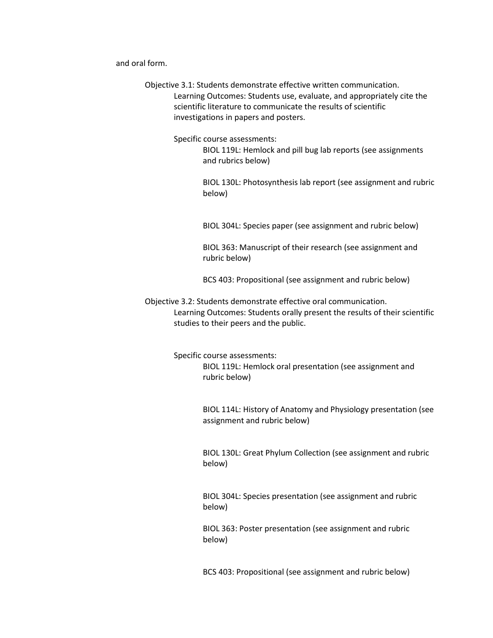and oral form.

Objective 3.1: Students demonstrate effective written communication. Learning Outcomes: Students use, evaluate, and appropriately cite the scientific literature to communicate the results of scientific investigations in papers and posters.

Specific course assessments:

BIOL 119L: Hemlock and pill bug lab reports (see assignments and rubrics below)

BIOL 130L: Photosynthesis lab report (see assignment and rubric below)

BIOL 304L: Species paper (see assignment and rubric below)

BIOL 363: Manuscript of their research (see assignment and rubric below)

BCS 403: Propositional (see assignment and rubric below)

Objective 3.2: Students demonstrate effective oral communication. Learning Outcomes: Students orally present the results of their scientific studies to their peers and the public.

Specific course assessments:

BIOL 119L: Hemlock oral presentation (see assignment and rubric below)

BIOL 114L: History of Anatomy and Physiology presentation (see assignment and rubric below)

BIOL 130L: Great Phylum Collection (see assignment and rubric below)

BIOL 304L: Species presentation (see assignment and rubric below)

BIOL 363: Poster presentation (see assignment and rubric below)

BCS 403: Propositional (see assignment and rubric below)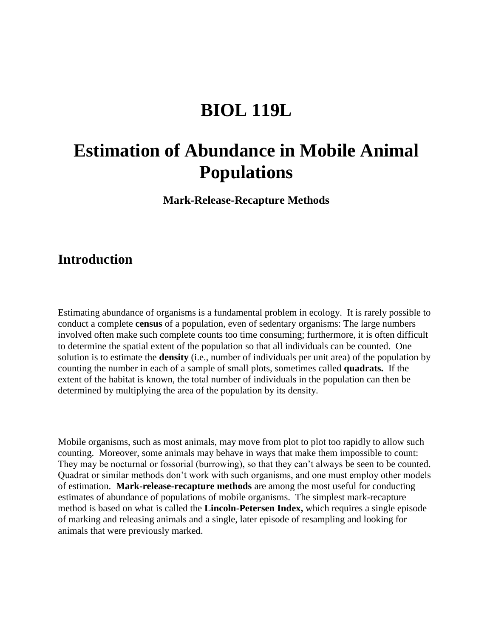# **BIOL 119L**

# **Estimation of Abundance in Mobile Animal Populations**

**Mark-Release-Recapture Methods**

## **Introduction**

Estimating abundance of organisms is a fundamental problem in ecology. It is rarely possible to conduct a complete **census** of a population, even of sedentary organisms: The large numbers involved often make such complete counts too time consuming; furthermore, it is often difficult to determine the spatial extent of the population so that all individuals can be counted. One solution is to estimate the **density** (i.e., number of individuals per unit area) of the population by counting the number in each of a sample of small plots, sometimes called **quadrats.** If the extent of the habitat is known, the total number of individuals in the population can then be determined by multiplying the area of the population by its density.

Mobile organisms, such as most animals, may move from plot to plot too rapidly to allow such counting. Moreover, some animals may behave in ways that make them impossible to count: They may be nocturnal or fossorial (burrowing), so that they can't always be seen to be counted. Quadrat or similar methods don't work with such organisms, and one must employ other models of estimation. **Mark-release-recapture methods** are among the most useful for conducting estimates of abundance of populations of mobile organisms. The simplest mark-recapture method is based on what is called the **Lincoln-Petersen Index,** which requires a single episode of marking and releasing animals and a single, later episode of resampling and looking for animals that were previously marked.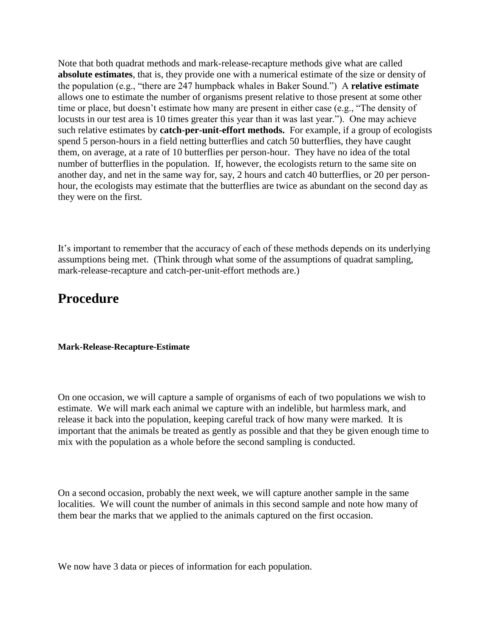Note that both quadrat methods and mark-release-recapture methods give what are called **absolute estimates**, that is, they provide one with a numerical estimate of the size or density of the population (e.g., "there are 247 humpback whales in Baker Sound.") A **relative estimate** allows one to estimate the number of organisms present relative to those present at some other time or place, but doesn't estimate how many are present in either case (e.g., "The density of locusts in our test area is 10 times greater this year than it was last year."). One may achieve such relative estimates by **catch-per-unit-effort methods.** For example, if a group of ecologists spend 5 person-hours in a field netting butterflies and catch 50 butterflies, they have caught them, on average, at a rate of 10 butterflies per person-hour. They have no idea of the total number of butterflies in the population. If, however, the ecologists return to the same site on another day, and net in the same way for, say, 2 hours and catch 40 butterflies, or 20 per personhour, the ecologists may estimate that the butterflies are twice as abundant on the second day as they were on the first.

It's important to remember that the accuracy of each of these methods depends on its underlying assumptions being met. (Think through what some of the assumptions of quadrat sampling, mark-release-recapture and catch-per-unit-effort methods are.)

## **Procedure**

### **Mark-Release-Recapture-Estimate**

On one occasion, we will capture a sample of organisms of each of two populations we wish to estimate. We will mark each animal we capture with an indelible, but harmless mark, and release it back into the population, keeping careful track of how many were marked. It is important that the animals be treated as gently as possible and that they be given enough time to mix with the population as a whole before the second sampling is conducted.

On a second occasion, probably the next week, we will capture another sample in the same localities. We will count the number of animals in this second sample and note how many of them bear the marks that we applied to the animals captured on the first occasion.

We now have 3 data or pieces of information for each population.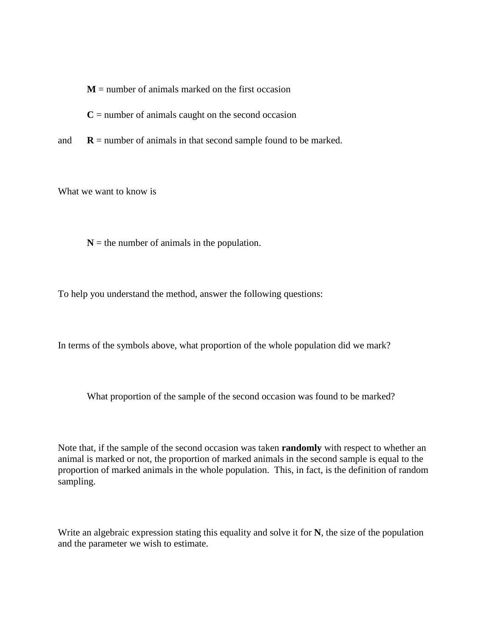$M$  = number of animals marked on the first occasion

 $C =$  number of animals caught on the second occasion

and  $\mathbf{R}$  = number of animals in that second sample found to be marked.

What we want to know is

 $N =$  the number of animals in the population.

To help you understand the method, answer the following questions:

In terms of the symbols above, what proportion of the whole population did we mark?

What proportion of the sample of the second occasion was found to be marked?

Note that, if the sample of the second occasion was taken **randomly** with respect to whether an animal is marked or not, the proportion of marked animals in the second sample is equal to the proportion of marked animals in the whole population. This, in fact, is the definition of random sampling.

Write an algebraic expression stating this equality and solve it for **N**, the size of the population and the parameter we wish to estimate.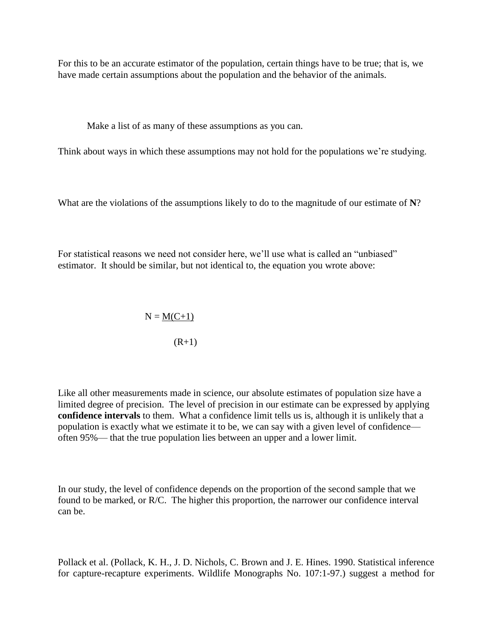For this to be an accurate estimator of the population, certain things have to be true; that is, we have made certain assumptions about the population and the behavior of the animals.

Make a list of as many of these assumptions as you can.

Think about ways in which these assumptions may not hold for the populations we're studying.

What are the violations of the assumptions likely to do to the magnitude of our estimate of **N**?

For statistical reasons we need not consider here, we'll use what is called an "unbiased" estimator. It should be similar, but not identical to, the equation you wrote above:

$$
N = \underline{M(C+1)}
$$
  
(R+1)

Like all other measurements made in science, our absolute estimates of population size have a limited degree of precision. The level of precision in our estimate can be expressed by applying **confidence intervals** to them. What a confidence limit tells us is, although it is unlikely that a population is exactly what we estimate it to be, we can say with a given level of confidence often 95%— that the true population lies between an upper and a lower limit.

In our study, the level of confidence depends on the proportion of the second sample that we found to be marked, or R/C. The higher this proportion, the narrower our confidence interval can be.

Pollack et al. (Pollack, K. H., J. D. Nichols, C. Brown and J. E. Hines. 1990. Statistical inference for capture-recapture experiments. Wildlife Monographs No. 107:1-97.) suggest a method for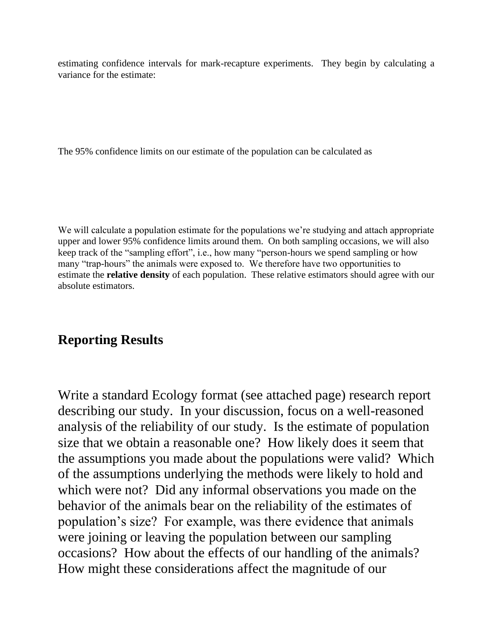estimating confidence intervals for mark-recapture experiments. They begin by calculating a variance for the estimate:

The 95% confidence limits on our estimate of the population can be calculated as

We will calculate a population estimate for the populations we're studying and attach appropriate upper and lower 95% confidence limits around them. On both sampling occasions, we will also keep track of the "sampling effort", i.e., how many "person-hours we spend sampling or how many "trap-hours" the animals were exposed to. We therefore have two opportunities to estimate the **relative density** of each population. These relative estimators should agree with our absolute estimators.

## **Reporting Results**

Write a standard Ecology format (see attached page) research report describing our study. In your discussion, focus on a well-reasoned analysis of the reliability of our study. Is the estimate of population size that we obtain a reasonable one? How likely does it seem that the assumptions you made about the populations were valid? Which of the assumptions underlying the methods were likely to hold and which were not? Did any informal observations you made on the behavior of the animals bear on the reliability of the estimates of population's size? For example, was there evidence that animals were joining or leaving the population between our sampling occasions? How about the effects of our handling of the animals? How might these considerations affect the magnitude of our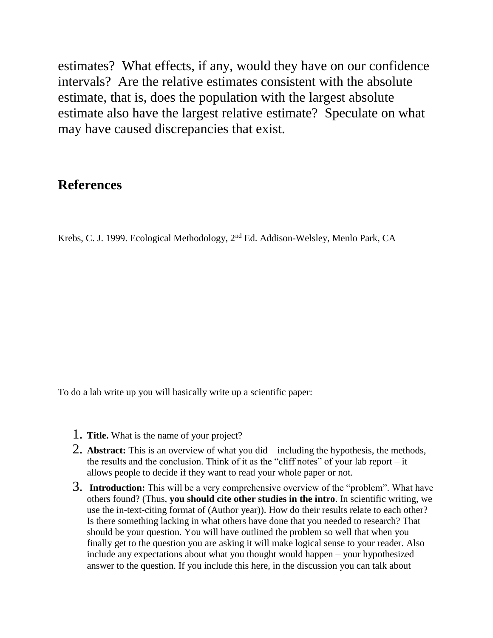estimates? What effects, if any, would they have on our confidence intervals? Are the relative estimates consistent with the absolute estimate, that is, does the population with the largest absolute estimate also have the largest relative estimate? Speculate on what may have caused discrepancies that exist.

## **References**

Krebs, C. J. 1999. Ecological Methodology, 2nd Ed. Addison-Welsley, Menlo Park, CA

To do a lab write up you will basically write up a scientific paper:

- 1. **Title.** What is the name of your project?
- 2. **Abstract:** This is an overview of what you did including the hypothesis, the methods, the results and the conclusion. Think of it as the "cliff notes" of your lab report – it allows people to decide if they want to read your whole paper or not.
- 3. **Introduction:** This will be a very comprehensive overview of the "problem". What have others found? (Thus, **you should cite other studies in the intro**. In scientific writing, we use the in-text-citing format of (Author year)). How do their results relate to each other? Is there something lacking in what others have done that you needed to research? That should be your question. You will have outlined the problem so well that when you finally get to the question you are asking it will make logical sense to your reader. Also include any expectations about what you thought would happen – your hypothesized answer to the question. If you include this here, in the discussion you can talk about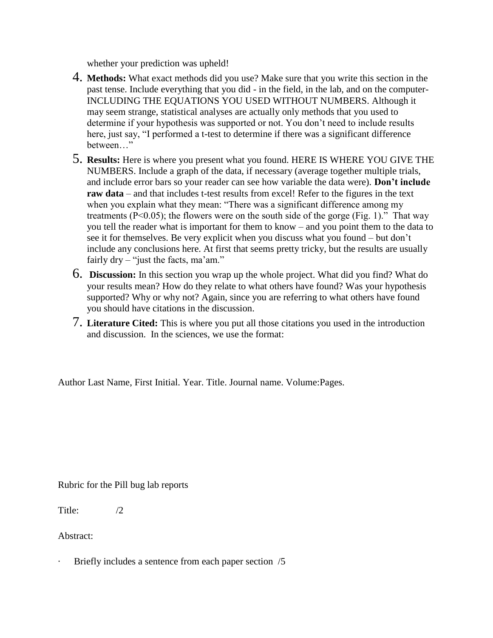whether your prediction was upheld!

- 4. **Methods:** What exact methods did you use? Make sure that you write this section in the past tense. Include everything that you did - in the field, in the lab, and on the computer-INCLUDING THE EQUATIONS YOU USED WITHOUT NUMBERS. Although it may seem strange, statistical analyses are actually only methods that you used to determine if your hypothesis was supported or not. You don't need to include results here, just say, "I performed a t-test to determine if there was a significant difference between…"
- 5. **Results:** Here is where you present what you found. HERE IS WHERE YOU GIVE THE NUMBERS. Include a graph of the data, if necessary (average together multiple trials, and include error bars so your reader can see how variable the data were). **Don't include raw data** – and that includes t-test results from excel! Refer to the figures in the text when you explain what they mean: "There was a significant difference among my treatments ( $P<0.05$ ); the flowers were on the south side of the gorge (Fig. 1)." That way you tell the reader what is important for them to know – and you point them to the data to see it for themselves. Be very explicit when you discuss what you found – but don't include any conclusions here. At first that seems pretty tricky, but the results are usually fairly dry – "just the facts, ma'am."
- 6. **Discussion:** In this section you wrap up the whole project. What did you find? What do your results mean? How do they relate to what others have found? Was your hypothesis supported? Why or why not? Again, since you are referring to what others have found you should have citations in the discussion.
- 7. **Literature Cited:** This is where you put all those citations you used in the introduction and discussion. In the sciences, we use the format:

Author Last Name, First Initial. Year. Title. Journal name. Volume:Pages.

Rubric for the Pill bug lab reports

Title: /2

Abstract:

Briefly includes a sentence from each paper section /5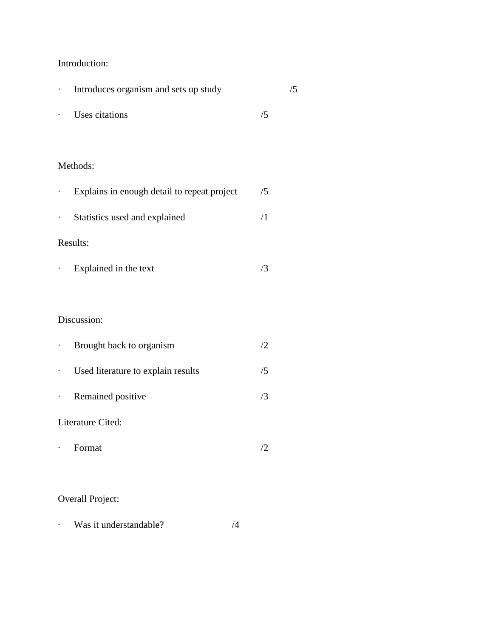### Introduction:

| Introduces organism and sets up study |    |  |
|---------------------------------------|----|--|
| Uses citations                        | /5 |  |
|                                       |    |  |

## Methods:

| Explains in enough detail to repeat project | /5 |
|---------------------------------------------|----|
| Statistics used and explained               |    |
| Results:                                    |    |

· Explained in the text /3

## Discussion:

|   | Brought back to organism           | 72  |
|---|------------------------------------|-----|
| ٠ | Used literature to explain results | /5  |
| ٠ | Remained positive                  | /3  |
|   | Literature Cited:                  |     |
|   | Format                             | 12. |
|   |                                    |     |
|   | Overall Droigat                    |     |

### Overall Project:

· Was it understandable? /4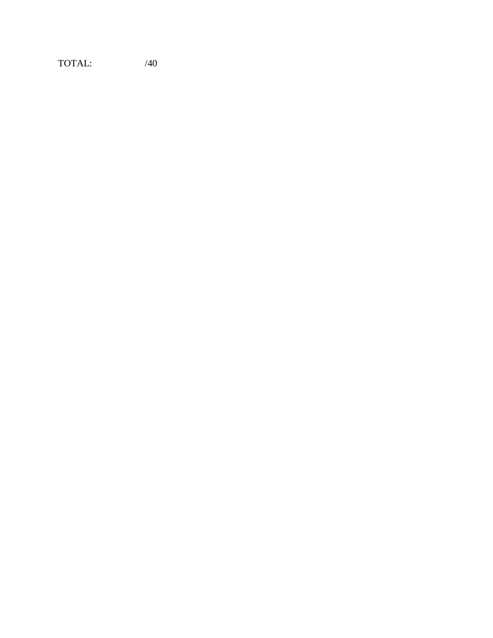TOTAL: /40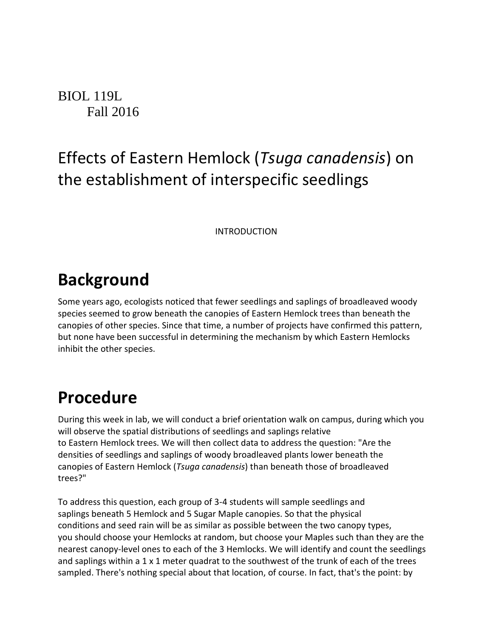BIOL 119L Fall 2016

# Effects of Eastern Hemlock (*Tsuga canadensis*) on the establishment of interspecific seedlings

INTRODUCTION

# **Background**

Some years ago, ecologists noticed that fewer seedlings and saplings of broadleaved woody species seemed to grow beneath the canopies of Eastern Hemlock trees than beneath the canopies of other species. Since that time, a number of projects have confirmed this pattern, but none have been successful in determining the mechanism by which Eastern Hemlocks inhibit the other species.

# **Procedure**

During this week in lab, we will conduct a brief orientation walk on campus, during which you will observe the spatial distributions of seedlings and saplings relative to Eastern Hemlock trees. We will then collect data to address the question: "Are the densities of seedlings and saplings of woody broadleaved plants lower beneath the canopies of Eastern Hemlock (*Tsuga canadensis*) than beneath those of broadleaved trees?"

To address this question, each group of 3-4 students will sample seedlings and saplings beneath 5 Hemlock and 5 Sugar Maple canopies. So that the physical conditions and seed rain will be as similar as possible between the two canopy types, you should choose your Hemlocks at random, but choose your Maples such than they are the nearest canopy-level ones to each of the 3 Hemlocks. We will identify and count the seedlings and saplings within a 1 x 1 meter quadrat to the southwest of the trunk of each of the trees sampled. There's nothing special about that location, of course. In fact, that's the point: by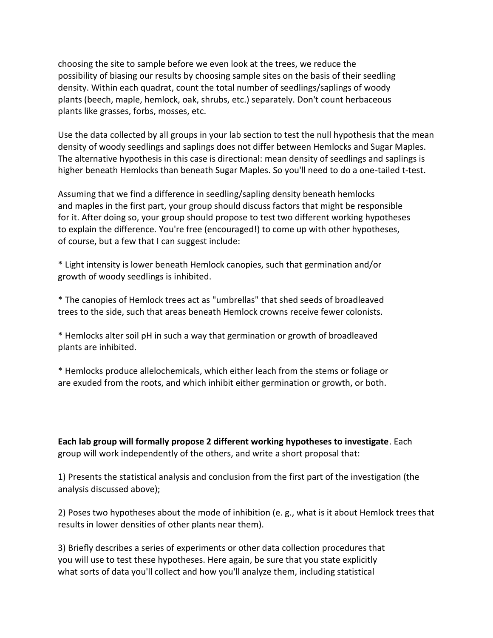choosing the site to sample before we even look at the trees, we reduce the possibility of biasing our results by choosing sample sites on the basis of their seedling density. Within each quadrat, count the total number of seedlings/saplings of woody plants (beech, maple, hemlock, oak, shrubs, etc.) separately. Don't count herbaceous plants like grasses, forbs, mosses, etc.

Use the data collected by all groups in your lab section to test the null hypothesis that the mean density of woody seedlings and saplings does not differ between Hemlocks and Sugar Maples. The alternative hypothesis in this case is directional: mean density of seedlings and saplings is higher beneath Hemlocks than beneath Sugar Maples. So you'll need to do a one-tailed t-test.

Assuming that we find a difference in seedling/sapling density beneath hemlocks and maples in the first part, your group should discuss factors that might be responsible for it. After doing so, your group should propose to test two different working hypotheses to explain the difference. You're free (encouraged!) to come up with other hypotheses, of course, but a few that I can suggest include:

\* Light intensity is lower beneath Hemlock canopies, such that germination and/or growth of woody seedlings is inhibited.

\* The canopies of Hemlock trees act as "umbrellas" that shed seeds of broadleaved trees to the side, such that areas beneath Hemlock crowns receive fewer colonists.

\* Hemlocks alter soil pH in such a way that germination or growth of broadleaved plants are inhibited.

\* Hemlocks produce allelochemicals, which either leach from the stems or foliage or are exuded from the roots, and which inhibit either germination or growth, or both.

**Each lab group will formally propose 2 different working hypotheses to investigate**. Each group will work independently of the others, and write a short proposal that:

1) Presents the statistical analysis and conclusion from the first part of the investigation (the analysis discussed above);

2) Poses two hypotheses about the mode of inhibition (e. g., what is it about Hemlock trees that results in lower densities of other plants near them).

3) Briefly describes a series of experiments or other data collection procedures that you will use to test these hypotheses. Here again, be sure that you state explicitly what sorts of data you'll collect and how you'll analyze them, including statistical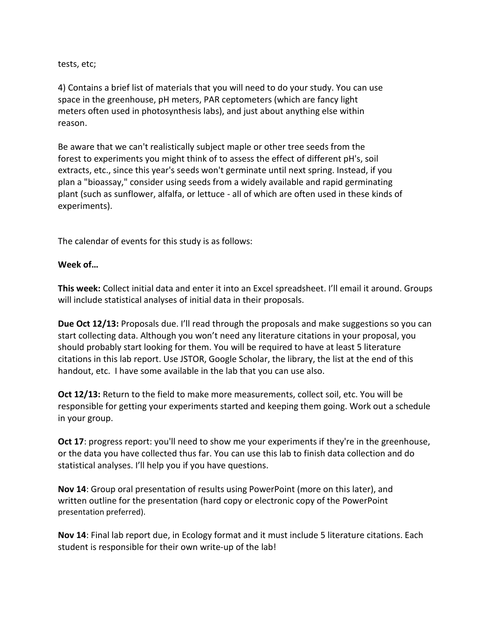tests, etc;

4) Contains a brief list of materials that you will need to do your study. You can use space in the greenhouse, pH meters, PAR ceptometers (which are fancy light meters often used in photosynthesis labs), and just about anything else within reason.

Be aware that we can't realistically subject maple or other tree seeds from the forest to experiments you might think of to assess the effect of different pH's, soil extracts, etc., since this year's seeds won't germinate until next spring. Instead, if you plan a "bioassay," consider using seeds from a widely available and rapid germinating plant (such as sunflower, alfalfa, or lettuce - all of which are often used in these kinds of experiments).

The calendar of events for this study is as follows:

### **Week of…**

**This week:** Collect initial data and enter it into an Excel spreadsheet. I'll email it around. Groups will include statistical analyses of initial data in their proposals.

**Due Oct 12/13:** Proposals due. I'll read through the proposals and make suggestions so you can start collecting data. Although you won't need any literature citations in your proposal, you should probably start looking for them. You will be required to have at least 5 literature citations in this lab report. Use JSTOR, Google Scholar, the library, the list at the end of this handout, etc. I have some available in the lab that you can use also.

**Oct 12/13:** Return to the field to make more measurements, collect soil, etc. You will be responsible for getting your experiments started and keeping them going. Work out a schedule in your group.

**Oct 17**: progress report: you'll need to show me your experiments if they're in the greenhouse, or the data you have collected thus far. You can use this lab to finish data collection and do statistical analyses. I'll help you if you have questions.

**Nov 14**: Group oral presentation of results using PowerPoint (more on this later), and written outline for the presentation (hard copy or electronic copy of the PowerPoint presentation preferred).

**Nov 14**: Final lab report due, in Ecology format and it must include 5 literature citations. Each student is responsible for their own write-up of the lab!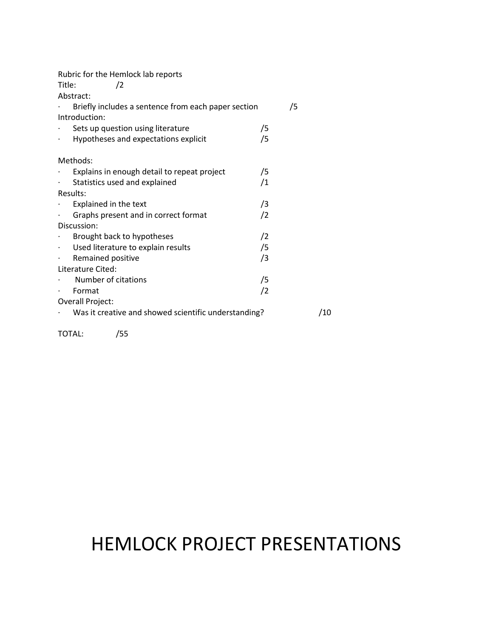| Rubric for the Hemlock lab reports                     |     |
|--------------------------------------------------------|-----|
| Title:<br>$\sqrt{2}$                                   |     |
| Abstract:                                              |     |
| Briefly includes a sentence from each paper section    | /5  |
| Introduction:                                          |     |
| Sets up question using literature                      | /5  |
| Hypotheses and expectations explicit<br>$\blacksquare$ | /5  |
| Methods:                                               |     |
| Explains in enough detail to repeat project            | /5  |
| Statistics used and explained<br>$\blacksquare$        | /1  |
| Results:                                               |     |
| Explained in the text                                  | /3  |
| Graphs present and in correct format<br>$\bullet$ .    | /2  |
| Discussion:                                            |     |
| Brought back to hypotheses                             | /2  |
| Used literature to explain results<br>$\bullet$ .      | /5  |
| Remained positive<br>$\blacksquare$                    | /3  |
| Literature Cited:                                      |     |
| Number of citations                                    | /5  |
| Format                                                 | /2  |
| Overall Project:                                       |     |
| Was it creative and showed scientific understanding?   | /10 |
| TOTAL:<br>/55                                          |     |

# HEMLOCK PROJECT PRESENTATIONS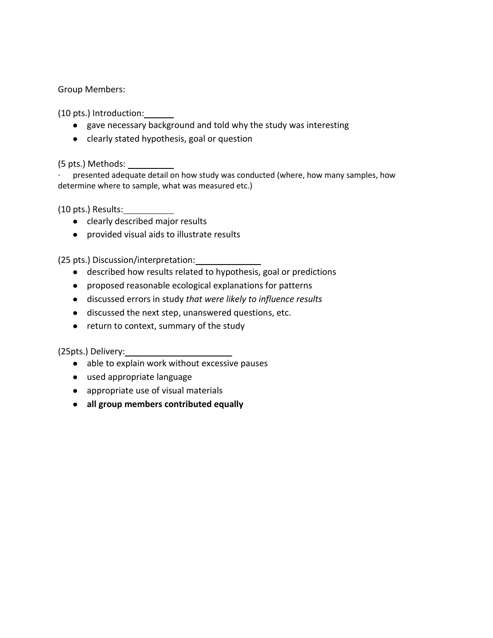Group Members:

(10 pts.) Introduction:

- gave necessary background and told why the study was interesting
- clearly stated hypothesis, goal or question

(5 pts.) Methods:

presented adequate detail on how study was conducted (where, how many samples, how determine where to sample, what was measured etc.)

(10 pts.) Results:

- clearly described major results
- provided visual aids to illustrate results

(25 pts.) Discussion/interpretation:

- described how results related to hypothesis, goal or predictions
- proposed reasonable ecological explanations for patterns
- discussed errors in study *that were likely to influence results*
- discussed the next step, unanswered questions, etc.
- return to context, summary of the study

(25pts.) Delivery:

- able to explain work without excessive pauses
- used appropriate language
- appropriate use of visual materials
- **all group members contributed equally**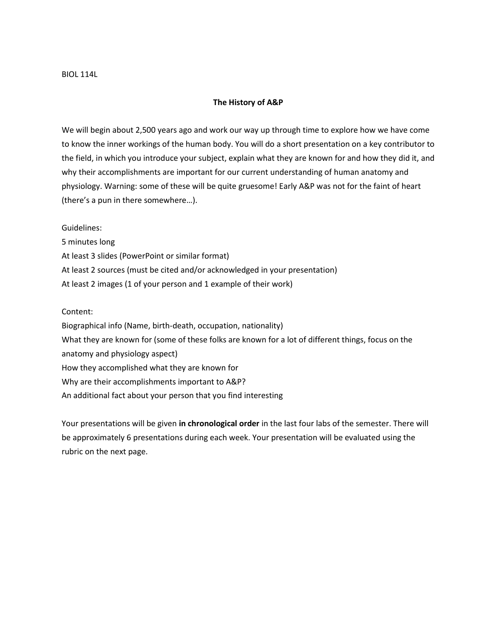### **The History of A&P**

We will begin about 2,500 years ago and work our way up through time to explore how we have come to know the inner workings of the human body. You will do a short presentation on a key contributor to the field, in which you introduce your subject, explain what they are known for and how they did it, and why their accomplishments are important for our current understanding of human anatomy and physiology. Warning: some of these will be quite gruesome! Early A&P was not for the faint of heart (there's a pun in there somewhere…).

Guidelines:

5 minutes long At least 3 slides (PowerPoint or similar format) At least 2 sources (must be cited and/or acknowledged in your presentation) At least 2 images (1 of your person and 1 example of their work)

Content:

Biographical info (Name, birth-death, occupation, nationality) What they are known for (some of these folks are known for a lot of different things, focus on the anatomy and physiology aspect) How they accomplished what they are known for Why are their accomplishments important to A&P? An additional fact about your person that you find interesting

Your presentations will be given **in chronological order** in the last four labs of the semester. There will be approximately 6 presentations during each week. Your presentation will be evaluated using the rubric on the next page.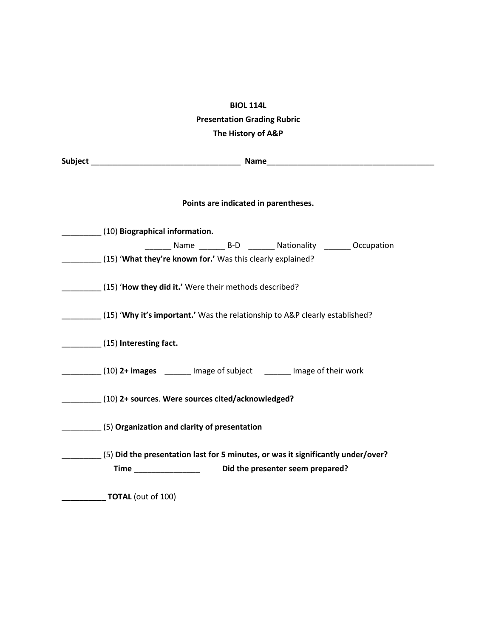## **BIOL 114L Presentation Grading Rubric The History of A&P**

|  | Subject and the contract of the contract of the contract of the contract of the contract of the contract of the                         |  |  |  |  |
|--|-----------------------------------------------------------------------------------------------------------------------------------------|--|--|--|--|
|  | Points are indicated in parentheses.                                                                                                    |  |  |  |  |
|  | (10) Biographical information.                                                                                                          |  |  |  |  |
|  | _________ Name __________ B-D __________ Nationality _________ Occupation<br>(15) 'What they're known for.' Was this clearly explained? |  |  |  |  |
|  | (15) <b>How they did it.'</b> Were their methods described?                                                                             |  |  |  |  |
|  | (15) 'Why it's important.' Was the relationship to A&P clearly established?                                                             |  |  |  |  |
|  | (15) Interesting fact.                                                                                                                  |  |  |  |  |
|  | (10) 2+ images _______ Image of subject ______ Image of their work                                                                      |  |  |  |  |
|  | (10) 2+ sources. Were sources cited/acknowledged?                                                                                       |  |  |  |  |
|  | (5) Organization and clarity of presentation                                                                                            |  |  |  |  |
|  | (5) Did the presentation last for 5 minutes, or was it significantly under/over?                                                        |  |  |  |  |
|  | Time ________________<br>Did the presenter seem prepared?                                                                               |  |  |  |  |
|  | <b>TOTAL</b> (out of 100)                                                                                                               |  |  |  |  |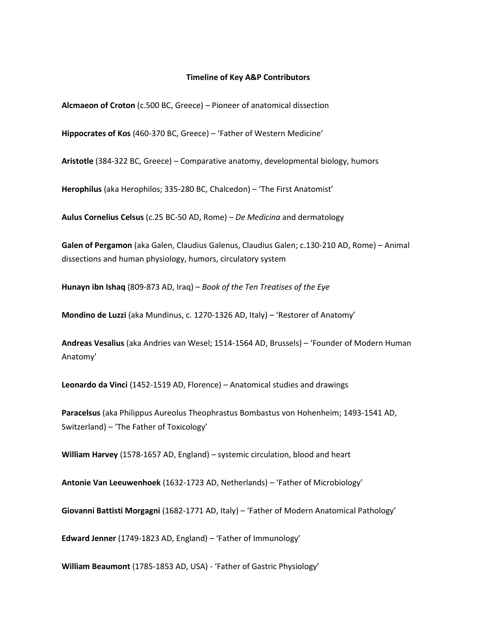### **Timeline of Key A&P Contributors**

**Alcmaeon of Croton** (c.500 BC, Greece) – Pioneer of anatomical dissection

**Hippocrates of Kos** (460-370 BC, Greece) – 'Father of Western Medicine'

**Aristotle** (384-322 BC, Greece) – Comparative anatomy, developmental biology, humors

**Herophilus** (aka Herophilos; 335-280 BC, Chalcedon) – 'The First Anatomist'

**Aulus Cornelius Celsus** (c.25 BC-50 AD, Rome) – *De Medicina* and dermatology

**Galen of Pergamon** (aka Galen, Claudius Galenus, Claudius Galen; c.130-210 AD, Rome) – Animal dissections and human physiology, humors, circulatory system

**Hunayn ibn Ishaq** (809-873 AD, Iraq) – *Book of the Ten Treatises of the Eye*

**Mondino de Luzzi** (aka Mundinus, c. 1270-1326 AD, Italy) – 'Restorer of Anatomy'

**Andreas Vesalius** (aka Andries van Wesel; 1514-1564 AD, Brussels) – 'Founder of Modern Human Anatomy'

**Leonardo da Vinci** (1452-1519 AD, Florence) – Anatomical studies and drawings

**Paracelsus** (aka Philippus Aureolus Theophrastus Bombastus von Hohenheim; 1493-1541 AD, Switzerland) – 'The Father of Toxicology'

**William Harvey** (1578-1657 AD, England) – systemic circulation, blood and heart

**Antonie Van Leeuwenhoek** (1632-1723 AD, Netherlands) – 'Father of Microbiology'

**Giovanni Battisti Morgagni** (1682-1771 AD, Italy) – 'Father of Modern Anatomical Pathology'

**Edward Jenner** (1749-1823 AD, England) – 'Father of Immunology'

**William Beaumont** (1785-1853 AD, USA) - 'Father of Gastric Physiology'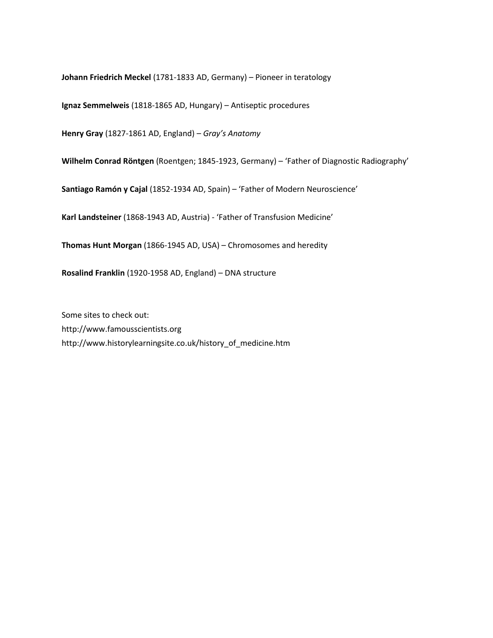**Johann Friedrich Meckel** (1781-1833 AD, Germany) – Pioneer in teratology

**Ignaz Semmelweis** (1818-1865 AD, Hungary) – Antiseptic procedures

**Henry Gray** (1827-1861 AD, England) – *Gray's Anatomy*

**Wilhelm Conrad Röntgen** (Roentgen; 1845-1923, Germany) – 'Father of Diagnostic Radiography'

**Santiago Ramón y Cajal** (1852-1934 AD, Spain) – 'Father of Modern Neuroscience'

**Karl Landsteiner** (1868-1943 AD, Austria) - 'Father of Transfusion Medicine'

**Thomas Hunt Morgan** (1866-1945 AD, USA) – Chromosomes and heredity

**Rosalind Franklin** (1920-1958 AD, England) – DNA structure

Some sites to check out: http://www.famousscientists.org http://www.historylearningsite.co.uk/history\_of\_medicine.htm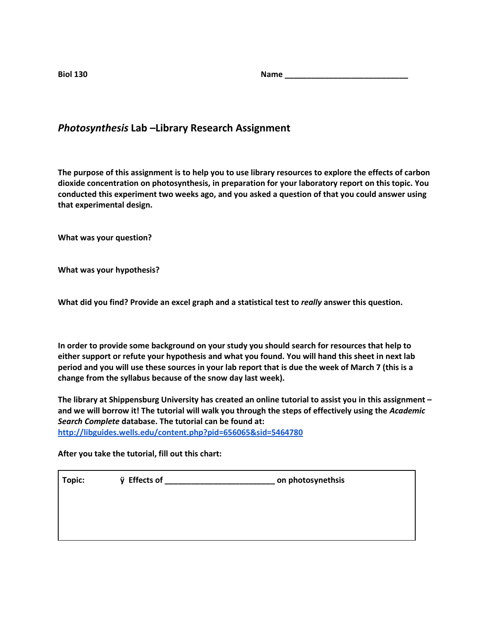**Biol 130 Name \_\_\_\_\_\_\_\_\_\_\_\_\_\_\_\_\_\_\_\_\_\_\_\_\_\_\_\_**

### *Photosynthesis* **Lab –Library Research Assignment**

**The purpose of this assignment is to help you to use library resources to explore the effects of carbon dioxide concentration on photosynthesis, in preparation for your laboratory report on this topic. You conducted this experiment two weeks ago, and you asked a question of that you could answer using that experimental design.**

**What was your question?**

**What was your hypothesis?**

**What did you find? Provide an excel graph and a statistical test to** *really* **answer this question.**

**In order to provide some background on your study you should search for resources that help to either support or refute your hypothesis and what you found. You will hand this sheet in next lab period and you will use these sources in your lab report that is due the week of March 7 (this is a change from the syllabus because of the snow day last week).**

**The library at Shippensburg University has created an online tutorial to assist you in this assignment – and we will borrow it! The tutorial will walk you through the steps of effectively using the** *Academic Search Complete* **database. The tutorial can be found at: <http://libguides.wells.edu/content.php?pid=656065&sid=5464780>**

**After you take the tutorial, fill out this chart:**

| Topic: | ÿ Effects of | on photosynethsis |
|--------|--------------|-------------------|
|        |              |                   |
|        |              |                   |
|        |              |                   |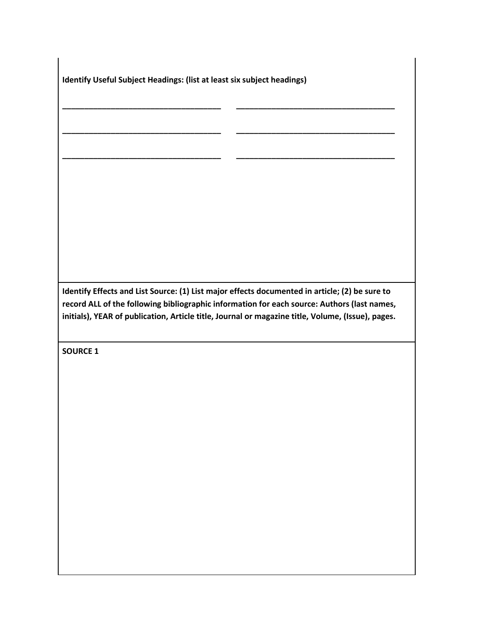**Identify Useful Subject Headings: (list at least six subject headings)**

**Identify Effects and List Source: (1) List major effects documented in article; (2) be sure to record ALL of the following bibliographic information for each source: Authors (last names, initials), YEAR of publication, Article title, Journal or magazine title, Volume, (Issue), pages.**

**\_\_\_\_\_\_\_\_\_\_\_\_\_\_\_\_\_\_\_\_\_\_\_\_\_\_\_\_\_\_\_\_\_\_\_\_ \_\_\_\_\_\_\_\_\_\_\_\_\_\_\_\_\_\_\_\_\_\_\_\_\_\_\_\_\_\_\_\_\_\_\_\_**

**\_\_\_\_\_\_\_\_\_\_\_\_\_\_\_\_\_\_\_\_\_\_\_\_\_\_\_\_\_\_\_\_\_\_\_\_ \_\_\_\_\_\_\_\_\_\_\_\_\_\_\_\_\_\_\_\_\_\_\_\_\_\_\_\_\_\_\_\_\_\_\_\_**

**\_\_\_\_\_\_\_\_\_\_\_\_\_\_\_\_\_\_\_\_\_\_\_\_\_\_\_\_\_\_\_\_\_\_\_\_ \_\_\_\_\_\_\_\_\_\_\_\_\_\_\_\_\_\_\_\_\_\_\_\_\_\_\_\_\_\_\_\_\_\_\_\_**

**SOURCE 1**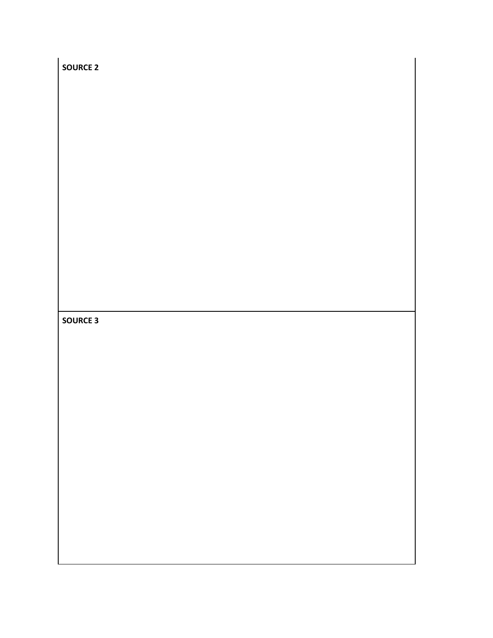| <b>SOURCE 2</b> |  |
|-----------------|--|
|                 |  |
|                 |  |
|                 |  |
|                 |  |
|                 |  |
|                 |  |
|                 |  |
|                 |  |
|                 |  |
| <b>SOURCE 3</b> |  |
|                 |  |
|                 |  |
|                 |  |
|                 |  |
|                 |  |
|                 |  |
|                 |  |
|                 |  |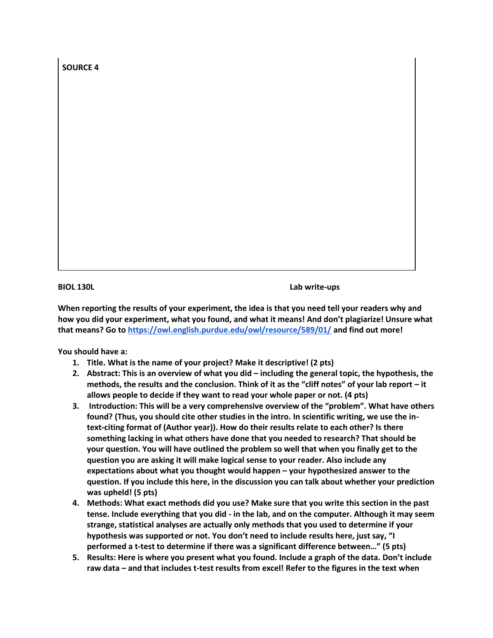**SOURCE 4**

**BIOL 130L Lab write-ups** 

**When reporting the results of your experiment, the idea is that you need tell your readers why and how you did your experiment, what you found, and what it means! And don't plagiarize! Unsure what that means? Go t[o](https://owl.english.purdue.edu/owl/resource/589/01/) <https://owl.english.purdue.edu/owl/resource/589/01/> and find out more!**

**You should have a:**

- **1. Title. What is the name of your project? Make it descriptive! (2 pts)**
- **2. Abstract: This is an overview of what you did – including the general topic, the hypothesis, the methods, the results and the conclusion. Think of it as the "cliff notes" of your lab report – it allows people to decide if they want to read your whole paper or not. (4 pts)**
- **3. Introduction: This will be a very comprehensive overview of the "problem". What have others found? (Thus, you should cite other studies in the intro. In scientific writing, we use the intext-citing format of (Author year)). How do their results relate to each other? Is there something lacking in what others have done that you needed to research? That should be your question. You will have outlined the problem so well that when you finally get to the question you are asking it will make logical sense to your reader. Also include any expectations about what you thought would happen – your hypothesized answer to the question. If you include this here, in the discussion you can talk about whether your prediction was upheld! (5 pts)**
- **4. Methods: What exact methods did you use? Make sure that you write this section in the past tense. Include everything that you did - in the lab, and on the computer. Although it may seem strange, statistical analyses are actually only methods that you used to determine if your hypothesis was supported or not. You don't need to include results here, just say, "I performed a t-test to determine if there was a significant difference between…" (5 pts)**
- **5. Results: Here is where you present what you found. Include a graph of the data. Don't include raw data – and that includes t-test results from excel! Refer to the figures in the text when**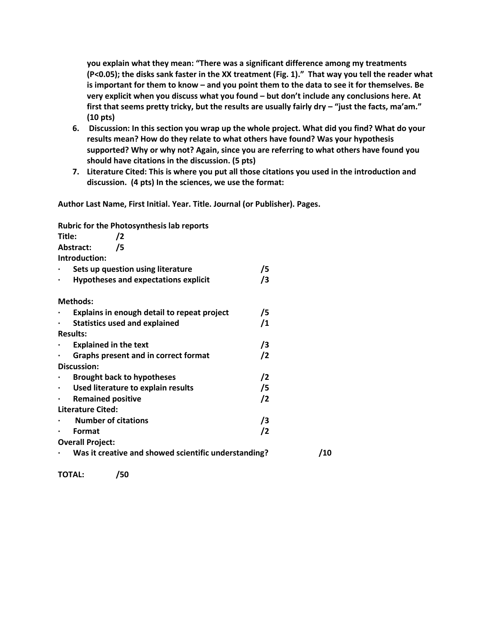**you explain what they mean: "There was a significant difference among my treatments (P<0.05); the disks sank faster in the XX treatment (Fig. 1)." That way you tell the reader what is important for them to know – and you point them to the data to see it for themselves. Be very explicit when you discuss what you found – but don't include any conclusions here. At first that seems pretty tricky, but the results are usually fairly dry – "just the facts, ma'am." (10 pts)**

- **6. Discussion: In this section you wrap up the whole project. What did you find? What do your results mean? How do they relate to what others have found? Was your hypothesis supported? Why or why not? Again, since you are referring to what others have found you should have citations in the discussion. (5 pts)**
- **7. Literature Cited: This is where you put all those citations you used in the introduction and discussion. (4 pts) In the sciences, we use the format:**

**Author Last Name, First Initial. Year. Title. Journal (or Publisher). Pages.**

**Rubric for the Photosynthesis lab reports**

| Title:    | /2                                                   |            |     |
|-----------|------------------------------------------------------|------------|-----|
|           | /5<br>Abstract:                                      |            |     |
|           | Introduction:                                        |            |     |
|           | Sets up question using literature                    | /5         |     |
| $\bullet$ | <b>Hypotheses and expectations explicit</b>          | /3         |     |
|           | <b>Methods:</b>                                      |            |     |
|           | Explains in enough detail to repeat project          | /5         |     |
| $\bullet$ | <b>Statistics used and explained</b>                 | /1         |     |
|           | <b>Results:</b>                                      |            |     |
|           | <b>Explained in the text</b>                         | /3         |     |
|           | Graphs present and in correct format                 | $\sqrt{2}$ |     |
|           | <b>Discussion:</b>                                   |            |     |
|           | <b>Brought back to hypotheses</b>                    | $\sqrt{2}$ |     |
|           | Used literature to explain results                   | /5         |     |
| $\bullet$ | <b>Remained positive</b>                             | $\sqrt{2}$ |     |
|           | <b>Literature Cited:</b>                             |            |     |
|           | <b>Number of citations</b>                           | $\sqrt{3}$ |     |
|           | Format                                               | /2         |     |
|           | <b>Overall Project:</b>                              |            |     |
|           | Was it creative and showed scientific understanding? |            | /10 |

**TOTAL: /50**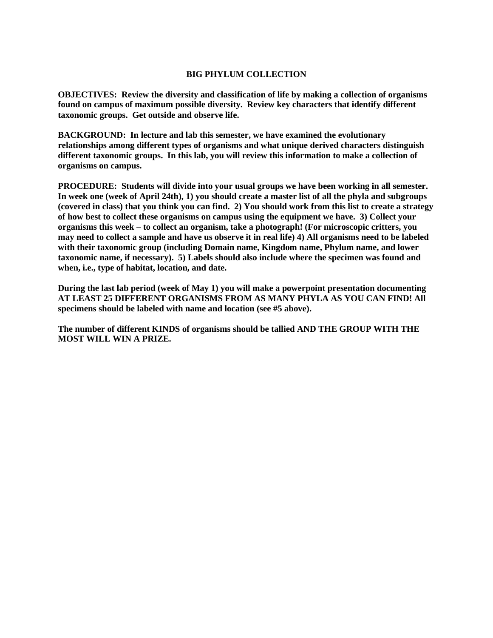### **BIG PHYLUM COLLECTION**

**OBJECTIVES: Review the diversity and classification of life by making a collection of organisms found on campus of maximum possible diversity. Review key characters that identify different taxonomic groups. Get outside and observe life.**

**BACKGROUND: In lecture and lab this semester, we have examined the evolutionary relationships among different types of organisms and what unique derived characters distinguish different taxonomic groups. In this lab, you will review this information to make a collection of organisms on campus.** 

**PROCEDURE: Students will divide into your usual groups we have been working in all semester. In week one (week of April 24th), 1) you should create a master list of all the phyla and subgroups (covered in class) that you think you can find. 2) You should work from this list to create a strategy of how best to collect these organisms on campus using the equipment we have. 3) Collect your organisms this week – to collect an organism, take a photograph! (For microscopic critters, you may need to collect a sample and have us observe it in real life) 4) All organisms need to be labeled with their taxonomic group (including Domain name, Kingdom name, Phylum name, and lower taxonomic name, if necessary). 5) Labels should also include where the specimen was found and when, i.e., type of habitat, location, and date.**

**During the last lab period (week of May 1) you will make a powerpoint presentation documenting AT LEAST 25 DIFFERENT ORGANISMS FROM AS MANY PHYLA AS YOU CAN FIND! All specimens should be labeled with name and location (see #5 above).**

**The number of different KINDS of organisms should be tallied AND THE GROUP WITH THE MOST WILL WIN A PRIZE.**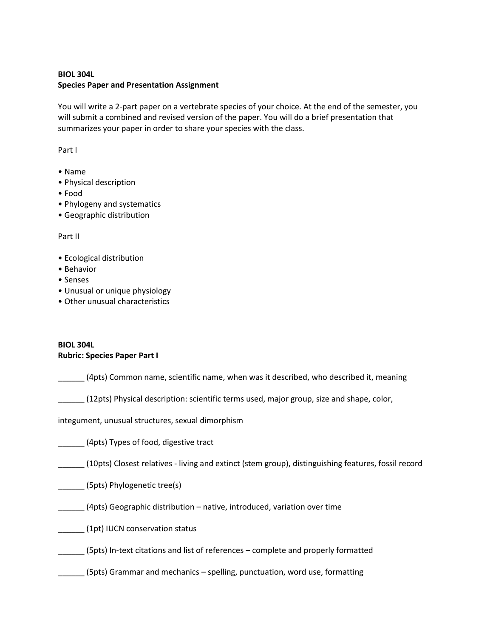### **BIOL 304L Species Paper and Presentation Assignment**

You will write a 2-part paper on a vertebrate species of your choice. At the end of the semester, you will submit a combined and revised version of the paper. You will do a brief presentation that summarizes your paper in order to share your species with the class.

Part I

- Name
- Physical description
- Food
- Phylogeny and systematics
- Geographic distribution

Part II

- Ecological distribution
- Behavior
- Senses
- Unusual or unique physiology
- Other unusual characteristics

### **BIOL 304L Rubric: Species Paper Part I**

\_\_\_\_\_\_ (4pts) Common name, scientific name, when was it described, who described it, meaning

\_\_\_\_\_\_ (12pts) Physical description: scientific terms used, major group, size and shape, color,

integument, unusual structures, sexual dimorphism

\_\_\_\_\_\_ (4pts) Types of food, digestive tract

\_\_\_\_\_\_ (10pts) Closest relatives - living and extinct (stem group), distinguishing features, fossil record

\_\_\_\_\_\_ (5pts) Phylogenetic tree(s)

\_\_\_\_\_\_ (4pts) Geographic distribution – native, introduced, variation over time

\_\_\_\_\_\_ (1pt) IUCN conservation status

\_\_\_\_\_\_ (5pts) In-text citations and list of references – complete and properly formatted

\_\_\_\_\_\_ (5pts) Grammar and mechanics – spelling, punctuation, word use, formatting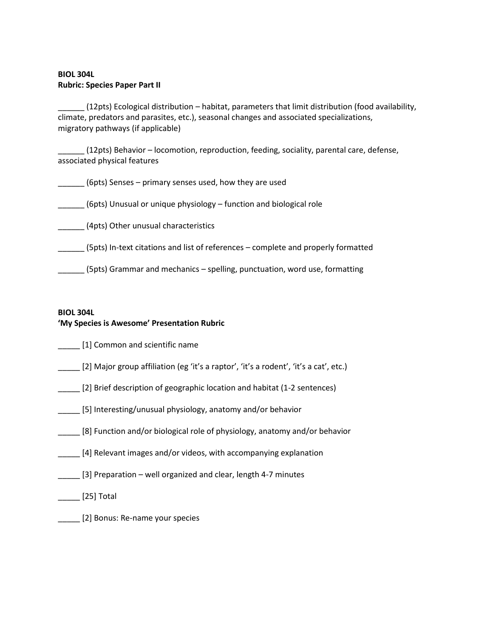### **BIOL 304L Rubric: Species Paper Part II**

\_\_\_\_\_\_ (12pts) Ecological distribution – habitat, parameters that limit distribution (food availability, climate, predators and parasites, etc.), seasonal changes and associated specializations, migratory pathways (if applicable)

\_\_\_\_\_\_ (12pts) Behavior – locomotion, reproduction, feeding, sociality, parental care, defense, associated physical features

\_\_\_\_\_\_ (6pts) Senses – primary senses used, how they are used

\_\_\_\_\_\_ (6pts) Unusual or unique physiology – function and biological role

\_\_\_\_\_\_ (4pts) Other unusual characteristics

\_\_\_\_\_\_ (5pts) In-text citations and list of references – complete and properly formatted

\_\_\_\_\_\_ (5pts) Grammar and mechanics – spelling, punctuation, word use, formatting

### **BIOL 304L 'My Species is Awesome' Presentation Rubric**

[1] Common and scientific name

- \_\_\_\_\_ [2] Major group affiliation (eg 'it's a raptor', 'it's a rodent', 'it's a cat', etc.)
- \_\_\_\_\_ [2] Brief description of geographic location and habitat (1-2 sentences)
- \_\_\_\_\_ [5] Interesting/unusual physiology, anatomy and/or behavior
- \_\_\_\_\_ [8] Function and/or biological role of physiology, anatomy and/or behavior
- [4] Relevant images and/or videos, with accompanying explanation
- [3] Preparation well organized and clear, length 4-7 minutes

\_\_\_\_\_ [25] Total

\_\_\_\_\_ [2] Bonus: Re-name your species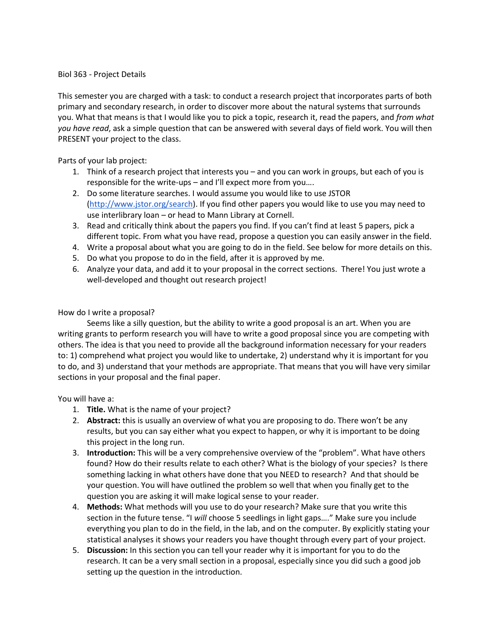### Biol 363 - Project Details

This semester you are charged with a task: to conduct a research project that incorporates parts of both primary and secondary research, in order to discover more about the natural systems that surrounds you. What that means is that I would like you to pick a topic, research it, read the papers, and *from what you have read*, ask a simple question that can be answered with several days of field work. You will then PRESENT your project to the class.

Parts of your lab project:

- 1. Think of a research project that interests you and you can work in groups, but each of you is responsible for the write-ups – and I'll expect more from you….
- 2. Do some literature searches. I would assume you would like to use JSTOR [\(http://www.jstor.org/search\)](http://www.jstor.org/search). If you find other papers you would like to use you may need to use interlibrary loan – or head to Mann Library at Cornell.
- 3. Read and critically think about the papers you find. If you can't find at least 5 papers, pick a different topic. From what you have read, propose a question you can easily answer in the field.
- 4. Write a proposal about what you are going to do in the field. See below for more details on this.
- 5. Do what you propose to do in the field, after it is approved by me.
- 6. Analyze your data, and add it to your proposal in the correct sections. There! You just wrote a well-developed and thought out research project!

### How do I write a proposal?

 Seems like a silly question, but the ability to write a good proposal is an art. When you are writing grants to perform research you will have to write a good proposal since you are competing with others. The idea is that you need to provide all the background information necessary for your readers to: 1) comprehend what project you would like to undertake, 2) understand why it is important for you to do, and 3) understand that your methods are appropriate. That means that you will have very similar sections in your proposal and the final paper.

You will have a:

- 1. **Title.** What is the name of your project?
- 2. **Abstract:** this is usually an overview of what you are proposing to do. There won't be any results, but you can say either what you expect to happen, or why it is important to be doing this project in the long run.
- 3. **Introduction:** This will be a very comprehensive overview of the "problem". What have others found? How do their results relate to each other? What is the biology of your species? Is there something lacking in what others have done that you NEED to research? And that should be your question. You will have outlined the problem so well that when you finally get to the question you are asking it will make logical sense to your reader.
- 4. **Methods:** What methods will you use to do your research? Make sure that you write this section in the future tense. "I *will* choose 5 seedlings in light gaps…." Make sure you include everything you plan to do in the field, in the lab, and on the computer. By explicitly stating your statistical analyses it shows your readers you have thought through every part of your project.
- 5. **Discussion:** In this section you can tell your reader why it is important for you to do the research. It can be a very small section in a proposal, especially since you did such a good job setting up the question in the introduction.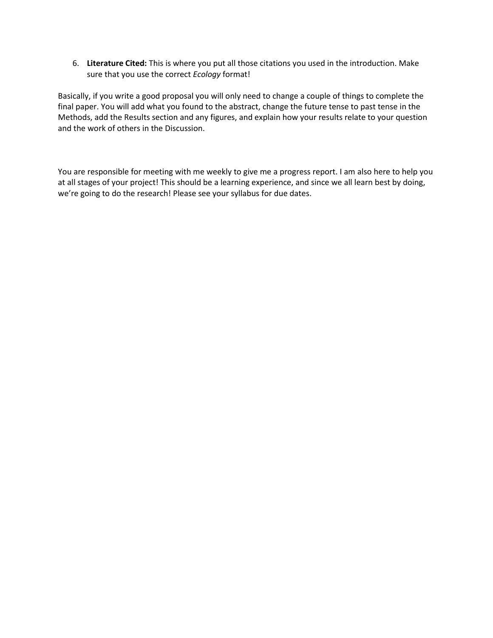6. **Literature Cited:** This is where you put all those citations you used in the introduction. Make sure that you use the correct *Ecology* format!

Basically, if you write a good proposal you will only need to change a couple of things to complete the final paper. You will add what you found to the abstract, change the future tense to past tense in the Methods, add the Results section and any figures, and explain how your results relate to your question and the work of others in the Discussion.

You are responsible for meeting with me weekly to give me a progress report. I am also here to help you at all stages of your project! This should be a learning experience, and since we all learn best by doing, we're going to do the research! Please see your syllabus for due dates.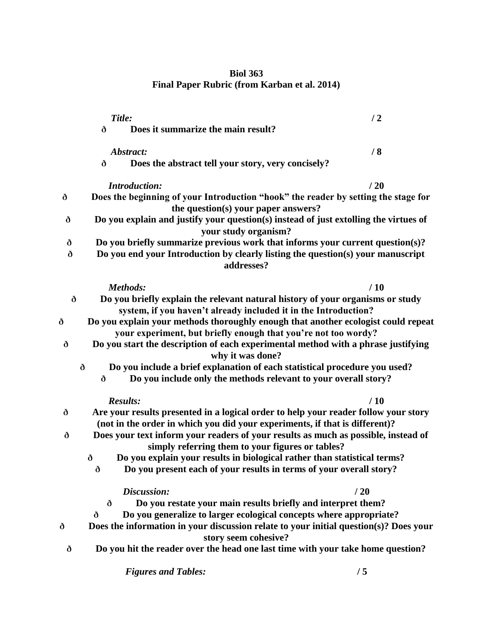## **Biol 363 Final Paper Rubric (from Karban et al. 2014)**

|   | Title:                                                                                                                                 | /2  |
|---|----------------------------------------------------------------------------------------------------------------------------------------|-----|
|   | Does it summarize the main result?<br>ð                                                                                                |     |
|   | Abstract:                                                                                                                              | /8  |
|   | Does the abstract tell your story, very concisely?<br>ð                                                                                |     |
|   | <b>Introduction:</b>                                                                                                                   | /20 |
| ð | Does the beginning of your Introduction "hook" the reader by setting the stage for<br>the question(s) your paper answers?              |     |
| ð | Do you explain and justify your question(s) instead of just extolling the virtues of<br>your study organism?                           |     |
| ð | Do you briefly summarize previous work that informs your current question(s)?                                                          |     |
| ð | Do you end your Introduction by clearly listing the question(s) your manuscript<br>addresses?                                          |     |
|   | Methods:                                                                                                                               | /10 |
| ð | Do you briefly explain the relevant natural history of your organisms or study                                                         |     |
|   | system, if you haven't already included it in the Introduction?                                                                        |     |
| ð | Do you explain your methods thoroughly enough that another ecologist could repeat                                                      |     |
|   | your experiment, but briefly enough that you're not too wordy?                                                                         |     |
| ð | Do you start the description of each experimental method with a phrase justifying                                                      |     |
|   | why it was done?<br>Do you include a brief explanation of each statistical procedure you used?<br>ð                                    |     |
|   | Do you include only the methods relevant to your overall story?<br>ð                                                                   |     |
|   |                                                                                                                                        |     |
|   | <b>Results:</b>                                                                                                                        | /10 |
| ð | Are your results presented in a logical order to help your reader follow your story                                                    |     |
|   | (not in the order in which you did your experiments, if that is different)?                                                            |     |
| ð | Does your text inform your readers of your results as much as possible, instead of<br>simply referring them to your figures or tables? |     |
|   | Do you explain your results in biological rather than statistical terms?<br>ð                                                          |     |
|   | Do you present each of your results in terms of your overall story?<br>ð                                                               |     |
|   | Discussion:                                                                                                                            | /20 |
|   | Do you restate your main results briefly and interpret them?<br>ð                                                                      |     |
|   | Do you generalize to larger ecological concepts where appropriate?<br>ð                                                                |     |
| ð | Does the information in your discussion relate to your initial question(s)? Does your<br>story seem cohesive?                          |     |
| ð | Do you hit the reader over the head one last time with your take home question?                                                        |     |
|   | <b>Figures and Tables:</b>                                                                                                             | /5  |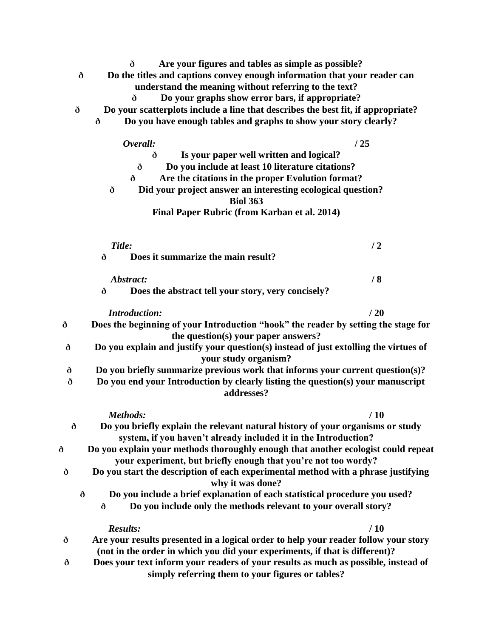- **ð Are your figures and tables as simple as possible?**
- **ð Do the titles and captions convey enough information that your reader can understand the meaning without referring to the text?**
	- **ð Do your graphs show error bars, if appropriate?**
- **ð Do your scatterplots include a line that describes the best fit, if appropriate?**
	- **ð Do you have enough tables and graphs to show your story clearly?**

|   | Overall:                                                                                                                                                                                                                            | /25 |
|---|-------------------------------------------------------------------------------------------------------------------------------------------------------------------------------------------------------------------------------------|-----|
|   | Is your paper well written and logical?<br>ð<br>Do you include at least 10 literature citations?<br>ð<br>Are the citations in the proper Evolution format?<br>ð<br>Did your project answer an interesting ecological question?<br>ð |     |
|   | <b>Biol 363</b>                                                                                                                                                                                                                     |     |
|   | Final Paper Rubric (from Karban et al. 2014)                                                                                                                                                                                        |     |
|   | Title:                                                                                                                                                                                                                              | /2  |
|   | Does it summarize the main result?<br>ð                                                                                                                                                                                             |     |
|   | Abstract:                                                                                                                                                                                                                           | /8  |
|   | Does the abstract tell your story, very concisely?<br>ð                                                                                                                                                                             |     |
|   | <b>Introduction:</b>                                                                                                                                                                                                                | /20 |
| ð | Does the beginning of your Introduction "hook" the reader by setting the stage for<br>the question(s) your paper answers?                                                                                                           |     |
| ð | Do you explain and justify your question(s) instead of just extolling the virtues of<br>your study organism?                                                                                                                        |     |
| ð | Do you briefly summarize previous work that informs your current question(s)?                                                                                                                                                       |     |
| ð | Do you end your Introduction by clearly listing the question(s) your manuscript<br>addresses?                                                                                                                                       |     |
|   | Methods:                                                                                                                                                                                                                            | /10 |
| ð | Do you briefly explain the relevant natural history of your organisms or study<br>system, if you haven't already included it in the Introduction?                                                                                   |     |
| ð | Do you explain your methods thoroughly enough that another ecologist could repeat                                                                                                                                                   |     |
|   | your experiment, but briefly enough that you're not too wordy?                                                                                                                                                                      |     |
| ð | Do you start the description of each experimental method with a phrase justifying<br>why it was done?                                                                                                                               |     |
|   | Do you include a brief explanation of each statistical procedure you used?<br>ð                                                                                                                                                     |     |
|   | Do you include only the methods relevant to your overall story?<br>ð                                                                                                                                                                |     |
|   | <b>Results:</b>                                                                                                                                                                                                                     | /10 |
| ð | Are your results presented in a logical order to help your reader follow your story<br>(not in the order in which you did your experiments, if that is different)?                                                                  |     |
| ð | Does your text inform your readers of your results as much as possible, instead of                                                                                                                                                  |     |

**simply referring them to your figures or tables?**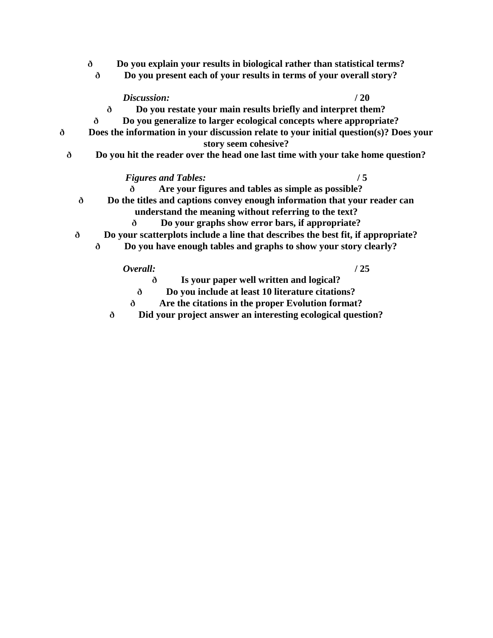- **ð Do you explain your results in biological rather than statistical terms?**
	- **ð Do you present each of your results in terms of your overall story?**

*Discussion:* **/ 20**

- **ð Do you restate your main results briefly and interpret them?**
- **ð Do you generalize to larger ecological concepts where appropriate?**
- **ð Does the information in your discussion relate to your initial question(s)? Does your story seem cohesive?**
	- **ð Do you hit the reader over the head one last time with your take home question?**

### *Figures and Tables:* **/ 5**

- **ð Are your figures and tables as simple as possible?**
- **ð Do the titles and captions convey enough information that your reader can** 
	- **understand the meaning without referring to the text?**
	- **ð Do your graphs show error bars, if appropriate?**
- **ð Do your scatterplots include a line that describes the best fit, if appropriate?**
	- **ð Do you have enough tables and graphs to show your story clearly?**

### *Overall:* **/ 25**

- **ð Is your paper well written and logical?**
- **ð Do you include at least 10 literature citations?**
- **ð Are the citations in the proper Evolution format?**
- **ð Did your project answer an interesting ecological question?**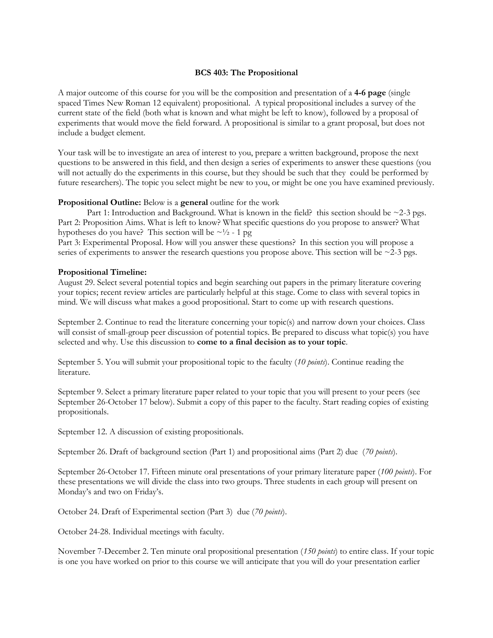### **BCS 403: The Propositional**

A major outcome of this course for you will be the composition and presentation of a **4-6 page** (single spaced Times New Roman 12 equivalent) propositional. A typical propositional includes a survey of the current state of the field (both what is known and what might be left to know), followed by a proposal of experiments that would move the field forward. A propositional is similar to a grant proposal, but does not include a budget element.

Your task will be to investigate an area of interest to you, prepare a written background, propose the next questions to be answered in this field, and then design a series of experiments to answer these questions (you will not actually do the experiments in this course, but they should be such that they could be performed by future researchers). The topic you select might be new to you, or might be one you have examined previously.

### **Propositional Outline:** Below is a **general** outline for the work

Part 1: Introduction and Background. What is known in the field? this section should be  $\sim$ 2-3 pgs. Part 2: Proposition Aims. What is left to know? What specific questions do you propose to answer? What hypotheses do you have? This section will be  $\sim$  1/2 - 1 pg

Part 3: Experimental Proposal. How will you answer these questions? In this section you will propose a series of experiments to answer the research questions you propose above. This section will be  $\sim$ 2-3 pgs.

### **Propositional Timeline:**

August 29. Select several potential topics and begin searching out papers in the primary literature covering your topics; recent review articles are particularly helpful at this stage. Come to class with several topics in mind. We will discuss what makes a good propositional. Start to come up with research questions.

September 2. Continue to read the literature concerning your topic(s) and narrow down your choices. Class will consist of small-group peer discussion of potential topics. Be prepared to discuss what topic(s) you have selected and why. Use this discussion to **come to a final decision as to your topic**.

September 5. You will submit your propositional topic to the faculty (*10 points*). Continue reading the literature.

September 9. Select a primary literature paper related to your topic that you will present to your peers (see September 26-October 17 below). Submit a copy of this paper to the faculty. Start reading copies of existing propositionals.

September 12. A discussion of existing propositionals.

September 26. Draft of background section (Part 1) and propositional aims (Part 2) due (*70 points*).

September 26-October 17. Fifteen minute oral presentations of your primary literature paper (*100 points*). For these presentations we will divide the class into two groups. Three students in each group will present on Monday's and two on Friday's.

October 24. Draft of Experimental section (Part 3) due (*70 points*).

October 24-28. Individual meetings with faculty.

November 7-December 2. Ten minute oral propositional presentation (*150 points*) to entire class. If your topic is one you have worked on prior to this course we will anticipate that you will do your presentation earlier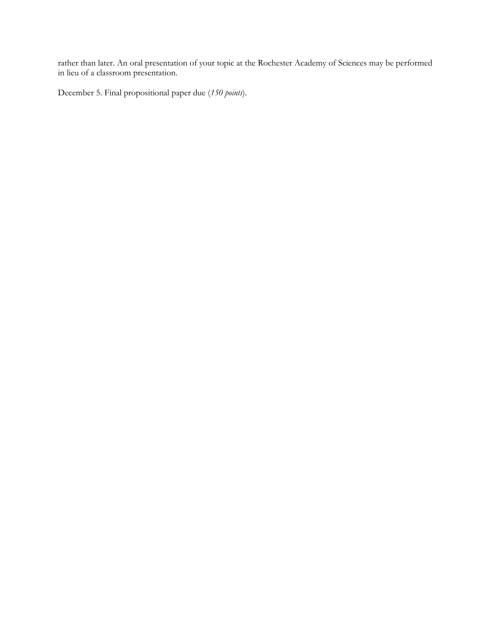rather than later. An oral presentation of your topic at the Rochester Academy of Sciences may be performed in lieu of a classroom presentation.

December 5. Final propositional paper due (*150 points*).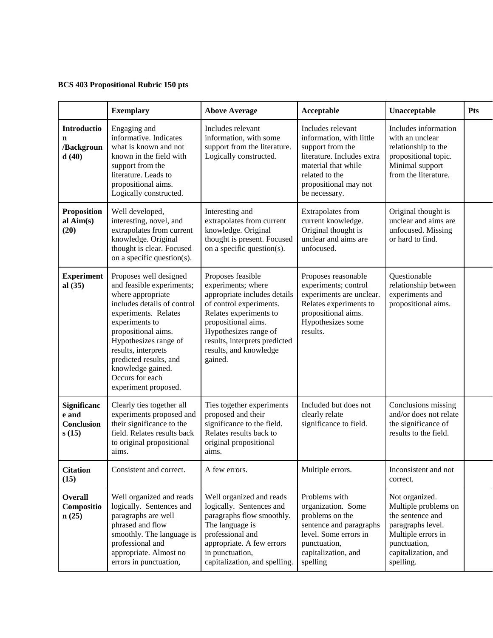### **BCS 403 Propositional Rubric 150 pts**

|                                             | <b>Exemplary</b>                                                                                                                                                                                                                                                                                                   | <b>Above Average</b>                                                                                                                                                                                                                               | Acceptable                                                                                                                                                                         | Unacceptable                                                                                                                                              | <b>Pts</b> |
|---------------------------------------------|--------------------------------------------------------------------------------------------------------------------------------------------------------------------------------------------------------------------------------------------------------------------------------------------------------------------|----------------------------------------------------------------------------------------------------------------------------------------------------------------------------------------------------------------------------------------------------|------------------------------------------------------------------------------------------------------------------------------------------------------------------------------------|-----------------------------------------------------------------------------------------------------------------------------------------------------------|------------|
| Introductio<br>n<br>/Backgroun<br>d(40)     | Engaging and<br>informative. Indicates<br>what is known and not<br>known in the field with<br>support from the<br>literature. Leads to<br>propositional aims.<br>Logically constructed.                                                                                                                            | Includes relevant<br>information, with some<br>support from the literature.<br>Logically constructed.                                                                                                                                              | Includes relevant<br>information, with little<br>support from the<br>literature. Includes extra<br>material that while<br>related to the<br>propositional may not<br>be necessary. | Includes information<br>with an unclear<br>relationship to the<br>propositional topic.<br>Minimal support<br>from the literature.                         |            |
| <b>Proposition</b><br>al $Aim(s)$<br>(20)   | Well developed,<br>interesting, novel, and<br>extrapolates from current<br>knowledge. Original<br>thought is clear. Focused<br>on a specific question(s).                                                                                                                                                          | Interesting and<br>extrapolates from current<br>knowledge. Original<br>thought is present. Focused<br>on a specific question(s).                                                                                                                   | Extrapolates from<br>current knowledge.<br>Original thought is<br>unclear and aims are<br>unfocused.                                                                               | Original thought is<br>unclear and aims are<br>unfocused. Missing<br>or hard to find.                                                                     |            |
| <b>Experiment</b><br>al $(35)$              | Proposes well designed<br>and feasible experiments;<br>where appropriate<br>includes details of control<br>experiments. Relates<br>experiments to<br>propositional aims.<br>Hypothesizes range of<br>results, interprets<br>predicted results, and<br>knowledge gained.<br>Occurs for each<br>experiment proposed. | Proposes feasible<br>experiments; where<br>appropriate includes details<br>of control experiments.<br>Relates experiments to<br>propositional aims.<br>Hypothesizes range of<br>results, interprets predicted<br>results, and knowledge<br>gained. | Proposes reasonable<br>experiments; control<br>experiments are unclear.<br>Relates experiments to<br>propositional aims.<br>Hypothesizes some<br>results.                          | Questionable<br>relationship between<br>experiments and<br>propositional aims.                                                                            |            |
| Significanc<br>e and<br>Conclusion<br>s(15) | Clearly ties together all<br>experiments proposed and<br>their significance to the<br>field. Relates results back<br>to original propositional<br>aims.                                                                                                                                                            | Ties together experiments<br>proposed and their<br>significance to the field.<br>Relates results back to<br>original propositional<br>aims.                                                                                                        | Included but does not<br>clearly relate<br>significance to field.                                                                                                                  | Conclusions missing<br>and/or does not relate<br>the significance of<br>results to the field.                                                             |            |
| <b>Citation</b><br>(15)                     | Consistent and correct.                                                                                                                                                                                                                                                                                            | A few errors.                                                                                                                                                                                                                                      | Multiple errors.                                                                                                                                                                   | Inconsistent and not<br>correct.                                                                                                                          |            |
| <b>Overall</b><br>Compositio<br>n(25)       | Well organized and reads<br>logically. Sentences and<br>paragraphs are well<br>phrased and flow<br>smoothly. The language is<br>professional and<br>appropriate. Almost no<br>errors in punctuation,                                                                                                               | Well organized and reads<br>logically. Sentences and<br>paragraphs flow smoothly.<br>The language is<br>professional and<br>appropriate. A few errors<br>in punctuation,<br>capitalization, and spelling.                                          | Problems with<br>organization. Some<br>problems on the<br>sentence and paragraphs<br>level. Some errors in<br>punctuation,<br>capitalization, and<br>spelling                      | Not organized.<br>Multiple problems on<br>the sentence and<br>paragraphs level.<br>Multiple errors in<br>punctuation,<br>capitalization, and<br>spelling. |            |